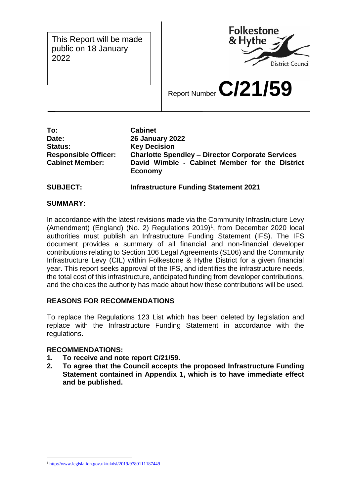This Report will be made public on 18 January 2022



Report Number **C/21/59**

**To: Cabinet Date: 26 January 2022 Status: Key Decision Responsible Officer: Charlotte Spendley – Director Corporate Services Cabinet Member: David Wimble - Cabinet Member for the District Economy**

**SUBJECT: Infrastructure Funding Statement 2021**

### **SUMMARY:**

In accordance with the latest revisions made via the Community Infrastructure Levy (Amendment) (England) (No. 2) Regulations 2019)<sup>1</sup>, from December 2020 local authorities must publish an Infrastructure Funding Statement (IFS). The IFS document provides a summary of all financial and non-financial developer contributions relating to Section 106 Legal Agreements (S106) and the Community Infrastructure Levy (CIL) within Folkestone & Hythe District for a given financial year. This report seeks approval of the IFS, and identifies the infrastructure needs, the total cost of this infrastructure, anticipated funding from developer contributions, and the choices the authority has made about how these contributions will be used.

## **REASONS FOR RECOMMENDATIONS**

To replace the Regulations 123 List which has been deleted by legislation and replace with the Infrastructure Funding Statement in accordance with the regulations.

## **RECOMMENDATIONS:**

- **1. To receive and note report C/21/59.**
- **2. To agree that the Council accepts the proposed Infrastructure Funding Statement contained in Appendix 1, which is to have immediate effect and be published.**

<sup>&</sup>lt;u>.</u> <sup>1</sup> <http://www.legislation.gov.uk/ukdsi/2019/9780111187449>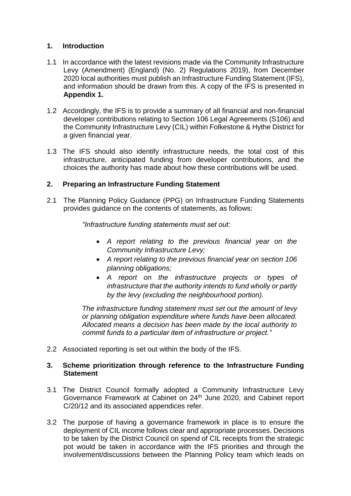### **1. Introduction**

- 1.1 In accordance with the latest revisions made via the Community Infrastructure Levy (Amendment) (England) (No. 2) Regulations 2019), from December 2020 local authorities must publish an Infrastructure Funding Statement (IFS), and information should be drawn from this. A copy of the IFS is presented in **Appendix 1.**
- 1.2 Accordingly, the IFS is to provide a summary of all financial and non-financial developer contributions relating to Section 106 Legal Agreements (S106) and the Community Infrastructure Levy (CIL) within Folkestone & Hythe District for a given financial year.
- 1.3 The IFS should also identify infrastructure needs, the total cost of this infrastructure, anticipated funding from developer contributions, and the choices the authority has made about how these contributions will be used.

## **2. Preparing an Infrastructure Funding Statement**

2.1 The Planning Policy Guidance (PPG) on Infrastructure Funding Statements provides guidance on the contents of statements, as follows:

*"Infrastructure funding statements must set out:*

- *A report relating to the previous financial year on the Community Infrastructure Levy;*
- *A report relating to the previous financial year on section 106 planning obligations;*
- *A report on the infrastructure projects or types of infrastructure that the authority intends to fund wholly or partly by the levy (excluding the neighbourhood portion).*

*The infrastructure funding statement must set out the amount of levy or planning obligation expenditure where funds have been allocated. Allocated means a decision has been made by the local authority to commit funds to a particular item of infrastructure or project."*

2.2 Associated reporting is set out within the body of the IFS.

#### **3. Scheme prioritization through reference to the Infrastructure Funding Statement**

- 3.1 The District Council formally adopted a Community Infrastructure Levy Governance Framework at Cabinet on 24<sup>th</sup> June 2020, and Cabinet report C/20/12 and its associated appendices refer.
- 3.2 The purpose of having a governance framework in place is to ensure the deployment of CIL income follows clear and appropriate processes. Decisions to be taken by the District Council on spend of CIL receipts from the strategic pot would be taken in accordance with the IFS priorities and through the involvement/discussions between the Planning Policy team which leads on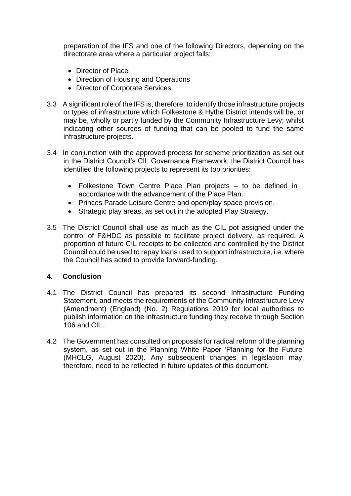preparation of the IFS and one of the following Directors, depending on the directorate area where a particular project falls:

- Director of Place
- Direction of Housing and Operations
- Director of Corporate Services
- 3.3 A significant role of the IFS is, therefore, to identify those infrastructure projects or types of infrastructure which Folkestone & Hythe District intends will be, or may be, wholly or partly funded by the Community Infrastructure Levy; whilst indicating other sources of funding that can be pooled to fund the same infrastructure projects.
- 3.4 In conjunction with the approved process for scheme prioritization as set out in the District Council's CIL Governance Framework, the District Council has identified the following projects to represent its top priorities:
	- Folkestone Town Centre Place Plan projects to be defined in accordance with the advancement of the Place Plan.
	- Princes Parade Leisure Centre and open/play space provision.
	- Strategic play areas, as set out in the adopted Play Strategy.
- 3.5 The District Council shall use as much as the CIL pot assigned under the control of F&HDC as possible to facilitate project delivery, as required. A proportion of future CIL receipts to be collected and controlled by the District Council could be used to repay loans used to support infrastructure, i.e. where the Council has acted to provide forward-funding.

## **4. Conclusion**

- 4.1 The District Council has prepared its second Infrastructure Funding Statement, and meets the requirements of the Community Infrastructure Levy (Amendment) (England) (No. 2) Regulations 2019 for local authorities to publish information on the infrastructure funding they receive through Section 106 and CIL.
- 4.2 The Government has consulted on proposals for radical reform of the planning system, as set out in the Planning White Paper 'Planning for the Future' (MHCLG, August 2020). Any subsequent changes in legislation may, therefore, need to be reflected in future updates of this document.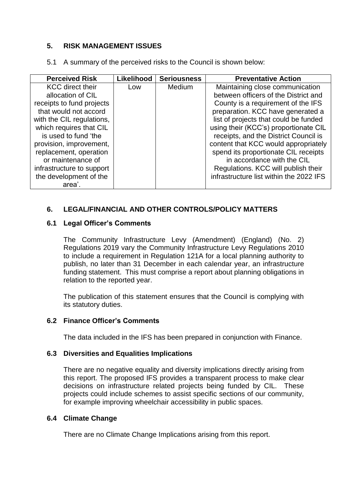### **5. RISK MANAGEMENT ISSUES**

5.1 A summary of the perceived risks to the Council is shown below:

| <b>Perceived Risk</b>     | Likelihood | <b>Seriousness</b> | <b>Preventative Action</b>              |
|---------------------------|------------|--------------------|-----------------------------------------|
| <b>KCC</b> direct their   | Low        | Medium             | Maintaining close communication         |
| allocation of CIL         |            |                    | between officers of the District and    |
| receipts to fund projects |            |                    | County is a requirement of the IFS      |
| that would not accord     |            |                    | preparation. KCC have generated a       |
| with the CIL regulations, |            |                    | list of projects that could be funded   |
| which requires that CIL   |            |                    | using their (KCC's) proportionate CIL   |
| is used to fund 'the      |            |                    | receipts, and the District Council is   |
| provision, improvement,   |            |                    | content that KCC would appropriately    |
| replacement, operation    |            |                    | spend its proportionate CIL receipts    |
| or maintenance of         |            |                    | in accordance with the CIL              |
| infrastructure to support |            |                    | Regulations. KCC will publish their     |
| the development of the    |            |                    | infrastructure list within the 2022 IFS |
| area'.                    |            |                    |                                         |

## **6. LEGAL/FINANCIAL AND OTHER CONTROLS/POLICY MATTERS**

#### **6.1 Legal Officer's Comments**

The Community Infrastructure Levy (Amendment) (England) (No. 2) Regulations 2019 vary the Community Infrastructure Levy Regulations 2010 to include a requirement in Regulation 121A for a local planning authority to publish, no later than 31 December in each calendar year, an infrastructure funding statement. This must comprise a report about planning obligations in relation to the reported year.

The publication of this statement ensures that the Council is complying with its statutory duties.

#### **6.2 Finance Officer's Comments**

The data included in the IFS has been prepared in conjunction with Finance.

#### **6.3 Diversities and Equalities Implications**

There are no negative equality and diversity implications directly arising from this report. The proposed IFS provides a transparent process to make clear decisions on infrastructure related projects being funded by CIL. These projects could include schemes to assist specific sections of our community, for example improving wheelchair accessibility in public spaces.

#### **6.4 Climate Change**

There are no Climate Change Implications arising from this report.